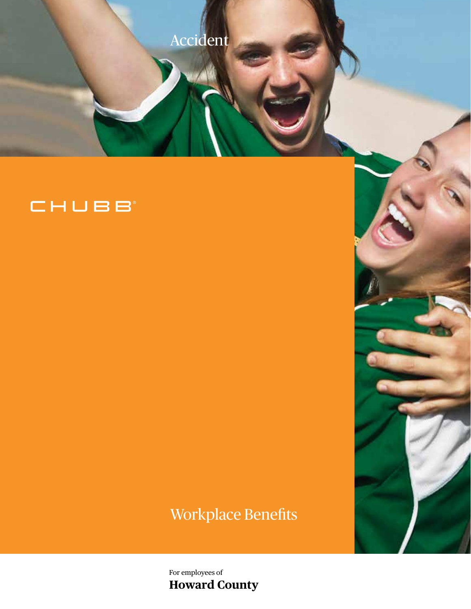

# CHUBB

# Workplace Benefits

For employees of **Howard County**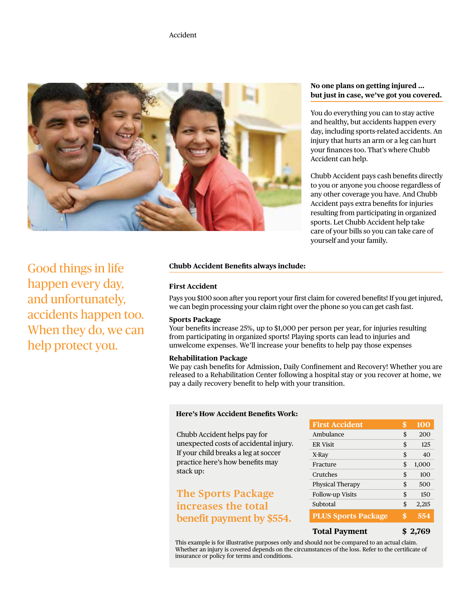

#### **No one plans on getting injured … but just in case, we've got you covered.**

You do everything you can to stay active and healthy, but accidents happen every day, including sports-related accidents. An injury that hurts an arm or a leg can hurt your finances too. That's where Chubb Accident can help.

Chubb Accident pays cash benefits directly to you or anyone you choose regardless of any other coverage you have. And Chubb Accident pays extra benefits for injuries resulting from participating in organized sports. Let Chubb Accident help take care of your bills so you can take care of yourself and your family.

Good things in life happen every day, and unfortunately, accidents happen too. When they do, we can help protect you.

#### **Chubb Accident Benefits always include:**

#### **First Accident**

Pays you \$100 soon after you report your first claim for covered benefits! If you get injured, we can begin processing your claim right over the phone so you can get cash fast.

#### **Sports Package**

Your benefits increase 25%, up to \$1,000 per person per year, for injuries resulting from participating in organized sports! Playing sports can lead to injuries and unwelcome expenses. We'll increase your benefits to help pay those expenses

#### **Rehabilitation Package**

We pay cash benefits for Admission, Daily Confinement and Recovery! Whether you are released to a Rehabilitation Center following a hospital stay or you recover at home, we pay a daily recovery benefit to help with your transition.

#### **Here's How Accident Benefits Work:**

Chubb Accident helps pay for unexpected costs of accidental injury. If your child breaks a leg at soccer practice here's how benefits may stack up:

# **The Sports Package increases the total benefit payment by \$554.**

| <b>First Accident</b>      | \$<br>100   |
|----------------------------|-------------|
| Ambulance                  | \$<br>200   |
| <b>ER Visit</b>            | \$<br>125   |
| X-Ray                      | \$<br>40    |
| Fracture                   | \$<br>1,000 |
| Crutches                   | \$<br>100   |
| <b>Physical Therapy</b>    | \$<br>500   |
| <b>Follow-up Visits</b>    | \$<br>150   |
| Subtotal                   | \$<br>2,215 |
| <b>PLUS Sports Package</b> | \$<br>554   |
| <b>Total Pavment</b>       | -2.769      |

This example is for illustrative purposes only and should not be compared to an actual claim. Whether an injury is covered depends on the circumstances of the loss. Refer to the certificate of insurance or policy for terms and conditions.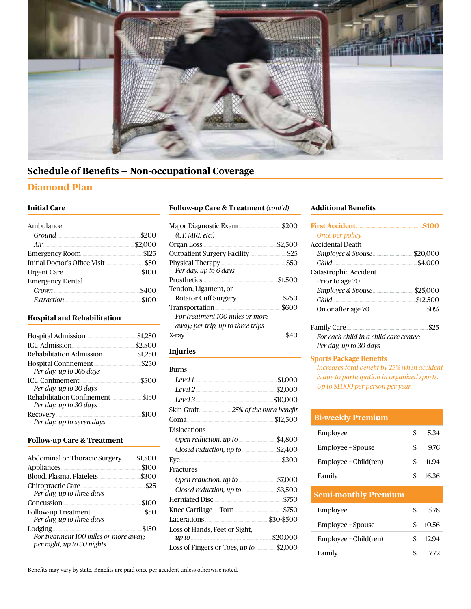

# **Schedule of Benefits — Non-occupational Coverage**

## **Diamond Plan**

### **Initial Care**

| Ambulance                     |         |
|-------------------------------|---------|
| Ground.                       | \$200   |
| Air                           | \$2,000 |
| <b>Emergency Room</b>         | \$125   |
| Initial Doctor's Office Visit | \$50    |
| <b>Urgent Care</b>            | \$100   |
| <b>Emergency Dental</b>       |         |
| Crown                         | \$400   |
| Extraction                    | \$100   |

#### **Hospital and Rehabilitation**

| <b>Hospital Admission</b>                            | \$1.250 |
|------------------------------------------------------|---------|
| <b>ICU</b> Admission                                 | \$2.500 |
| Rehabilitation Admission                             | \$1,250 |
| Hospital Confinement<br>Per day, up to 365 days      | \$250   |
| <b>ICU</b> Confinement<br>Per day, up to 30 days     | \$500   |
| Rehabilitation Confinement<br>Per day, up to 30 days | \$150   |
| Recovery<br>Per day, up to seven days                | \$100   |

#### **Follow-up Care & Treatment**

| Abdominal or Thoracic Surgery                                                  | \$1.500 |
|--------------------------------------------------------------------------------|---------|
| Appliances                                                                     | \$100   |
| Blood, Plasma, Platelets                                                       | \$300   |
| Chiropractic Care<br>Per day, up to three days                                 | \$25    |
| Concussion                                                                     | \$100   |
| <b>Follow-up Treatment</b><br>Per day, up to three days                        | \$50    |
| Lodging<br>For treatment 100 miles or more away;<br>per night, up to 30 nights | \$150   |

#### **Follow-up Care & Treatment** *(cont'd)*

| <b>Major Diagnostic Exam</b>        | \$200   |
|-------------------------------------|---------|
| (CT, MRI, etc.)                     |         |
| Organ Loss<br>                      | \$2,500 |
| <b>Outpatient Surgery Facility.</b> | \$25    |
| Physical Therapy<br>                | \$50    |
| Per day, up to 6 days               |         |
| Prosthetics                         | \$1,500 |
| Tendon, Ligament, or                |         |
| Rotator Cuff Surgery                | \$750   |
| Transportation                      | \$600   |
| For treatment 100 miles or more     |         |
| away; per trip, up to three trips   |         |
| X-ray.<br>                          |         |

### **Injuries**

| Burns                                                  |            |
|--------------------------------------------------------|------------|
| Level 1                                                | \$1,000    |
| Level 2                                                | \$2,000    |
| Level 3                                                | \$10,000   |
|                                                        |            |
| Coma                                                   | \$12,500   |
| Dislocations                                           |            |
| Open reduction, up to                                  | \$4,800    |
| Closed reduction, up to <b>contract to the control</b> | \$2,400    |
| Eye                                                    | \$300      |
| Fractures                                              |            |
| Open reduction, up to                                  | \$7,000    |
| Closed reduction, up to <b>manufact</b>                | \$3,500    |
| Herniated Disc                                         | \$750      |
| Knee Cartilage – Torn <b>Marin Lines</b>               | \$750      |
| Lacerations                                            | \$30-\$500 |
| Loss of Hands, Feet or Sight,                          |            |
|                                                        | \$20,000   |
| Loss of Fingers or Toes, up to <u>manual</u>           | \$2,000    |

### **Additional Benefits**

| <b>First Accident.</b>                 |          |
|----------------------------------------|----------|
| Once per policy                        |          |
| Accidental Death                       |          |
|                                        | \$20,000 |
| Child<br>                              | \$4,000  |
| Catastrophic Accident                  |          |
| Prior to age 70                        |          |
|                                        | \$25,000 |
| Child                                  | \$12.500 |
|                                        | 50%      |
| Family Care                            |          |
| For each child in a child care center: |          |
| Per day, up to 30 days                 |          |

#### **Sports Package Benefits**

*Increases total benefit by 25% when accident is due to participation in organized sports. Up to \$1,000 per person per year.*

| <b>Bi-weekly Premium</b>    |    |       |
|-----------------------------|----|-------|
| Employee                    | \$ | 5.34  |
| Employee + Spouse           | S  | 9.76  |
| Employee + Child(ren)       | \$ | 11.94 |
| Family                      | \$ | 16.36 |
| <b>Semi-monthly Premium</b> |    |       |
| Employee                    | S  | 5.78  |
| Employee + Spouse           |    | 10.56 |

Employee + Child(ren) \$ 12.94 Family \$ 17.72

Benefits may vary by state. Benefits are paid once per accident unless otherwise noted.